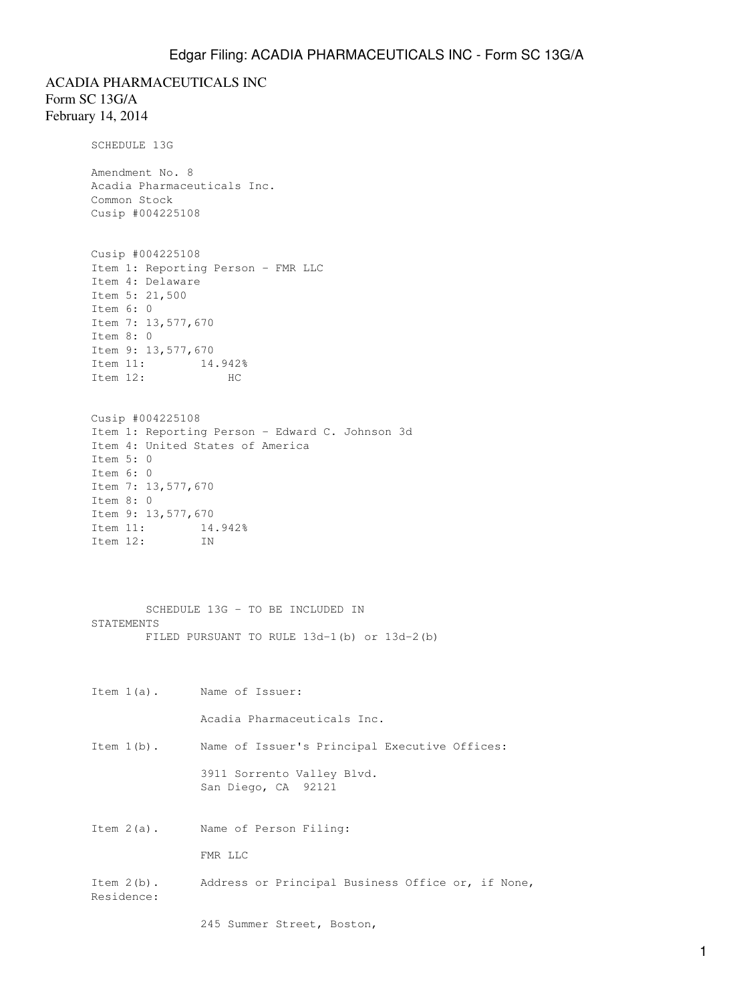ACADIA PHARMACEUTICALS INC Form SC 13G/A February 14, 2014 SCHEDULE 13G

> Amendment No. 8 Acadia Pharmaceuticals Inc. Common Stock Cusip #004225108

```
Cusip #004225108
Item 1: Reporting Person - FMR LLC
Item 4: Delaware
Item 5: 21,500
Item 6: 0
Item 7: 13,577,670
Item 8: 0
Item 9: 13,577,670
Item 11: 14.942%
Item 12: HC
```

```
Cusip #004225108
Item 1: Reporting Person - Edward C. Johnson 3d
Item 4: United States of America
Item 5: 0
Item 6: 0
Item 7: 13,577,670
Item 8: 0
Item 9: 13,577,670
Item 11: 14.942%
Item 12: IN
```
 SCHEDULE 13G - TO BE INCLUDED IN STATEMENTS FILED PURSUANT TO RULE 13d-1(b) or 13d-2(b)

Item 1(a). Name of Issuer:

Acadia Pharmaceuticals Inc.

Item 1(b). Name of Issuer's Principal Executive Offices:

 3911 Sorrento Valley Blvd. San Diego, CA 92121

Item 2(a). Name of Person Filing:

FMR LLC

Item 2(b). Address or Principal Business Office or, if None, Residence:

245 Summer Street, Boston,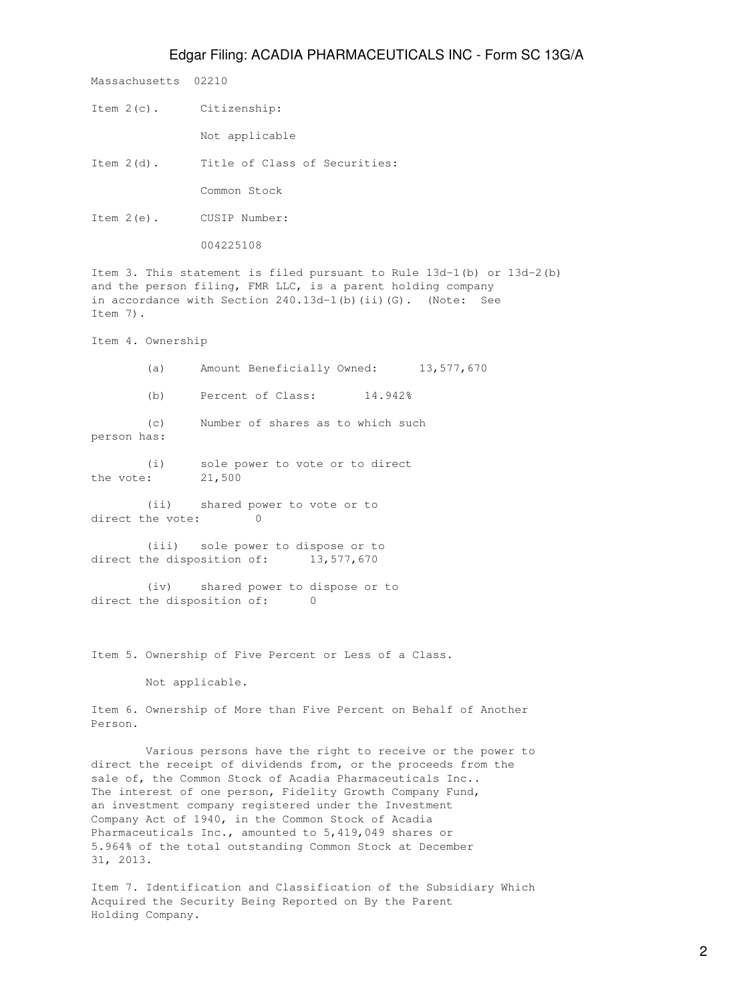## Edgar Filing: ACADIA PHARMACEUTICALS INC - Form SC 13G/A

Massachusetts 02210

Item 2(c). Citizenship:

Not applicable

Item 2(d). Title of Class of Securities:

Common Stock

Item 2(e). CUSIP Number:

004225108

Item 3. This statement is filed pursuant to Rule 13d-1(b) or 13d-2(b) and the person filing, FMR LLC, is a parent holding company in accordance with Section 240.13d-1(b)(ii)(G). (Note: See Item 7).

Item 4. Ownership

 (a) Amount Beneficially Owned: 13,577,670 (b) Percent of Class: 14.942% (c) Number of shares as to which such person has:

 (i) sole power to vote or to direct the vote: 21,500

 (ii) shared power to vote or to direct the vote: 0

 (iii) sole power to dispose or to direct the disposition of: 13,577,670

 (iv) shared power to dispose or to direct the disposition of: 0

Item 5. Ownership of Five Percent or Less of a Class.

Not applicable.

Item 6. Ownership of More than Five Percent on Behalf of Another Person.

 Various persons have the right to receive or the power to direct the receipt of dividends from, or the proceeds from the sale of, the Common Stock of Acadia Pharmaceuticals Inc.. The interest of one person, Fidelity Growth Company Fund, an investment company registered under the Investment Company Act of 1940, in the Common Stock of Acadia Pharmaceuticals Inc., amounted to 5,419,049 shares or 5.964% of the total outstanding Common Stock at December 31, 2013.

Item 7. Identification and Classification of the Subsidiary Which Acquired the Security Being Reported on By the Parent Holding Company.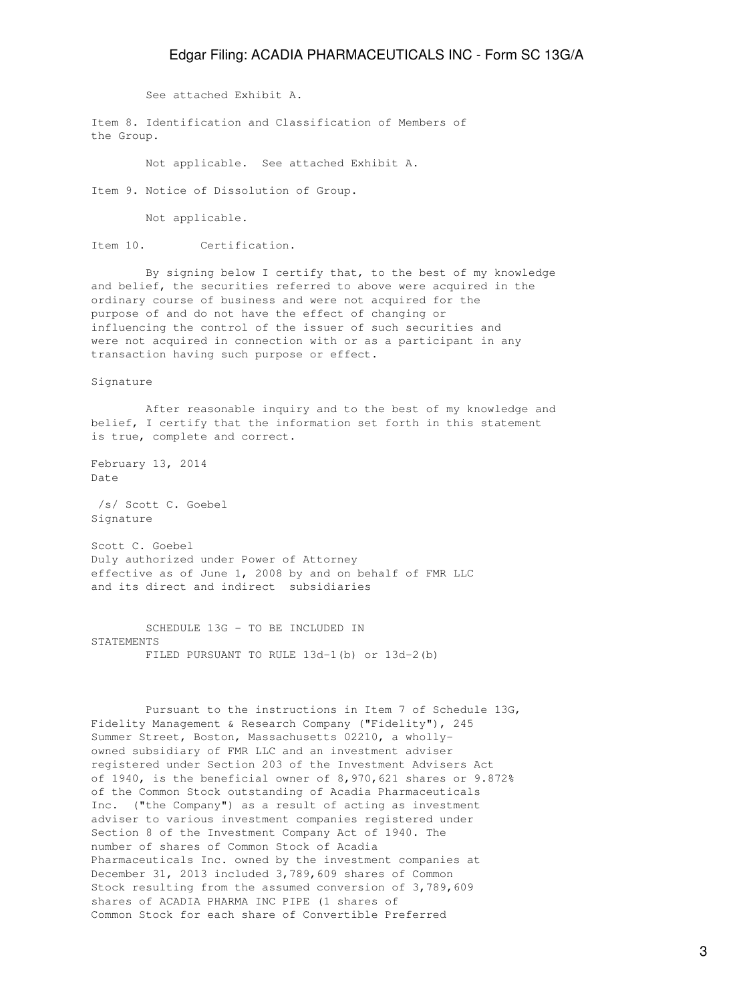## Edgar Filing: ACADIA PHARMACEUTICALS INC - Form SC 13G/A

See attached Exhibit A.

Item 8. Identification and Classification of Members of the Group.

Not applicable. See attached Exhibit A.

Item 9. Notice of Dissolution of Group.

Not applicable.

Item 10. Certification.

 By signing below I certify that, to the best of my knowledge and belief, the securities referred to above were acquired in the ordinary course of business and were not acquired for the purpose of and do not have the effect of changing or influencing the control of the issuer of such securities and were not acquired in connection with or as a participant in any transaction having such purpose or effect.

Signature

 After reasonable inquiry and to the best of my knowledge and belief, I certify that the information set forth in this statement is true, complete and correct.

February 13, 2014 Date

 /s/ Scott C. Goebel Signature

Scott C. Goebel Duly authorized under Power of Attorney effective as of June 1, 2008 by and on behalf of FMR LLC and its direct and indirect subsidiaries

 SCHEDULE 13G - TO BE INCLUDED IN STATEMENTS FILED PURSUANT TO RULE 13d-1(b) or 13d-2(b)

 Pursuant to the instructions in Item 7 of Schedule 13G, Fidelity Management & Research Company ("Fidelity"), 245 Summer Street, Boston, Massachusetts 02210, a whollyowned subsidiary of FMR LLC and an investment adviser registered under Section 203 of the Investment Advisers Act of 1940, is the beneficial owner of 8,970,621 shares or 9.872% of the Common Stock outstanding of Acadia Pharmaceuticals Inc. ("the Company") as a result of acting as investment adviser to various investment companies registered under Section 8 of the Investment Company Act of 1940. The number of shares of Common Stock of Acadia Pharmaceuticals Inc. owned by the investment companies at December 31, 2013 included 3,789,609 shares of Common Stock resulting from the assumed conversion of 3,789,609 shares of ACADIA PHARMA INC PIPE (1 shares of Common Stock for each share of Convertible Preferred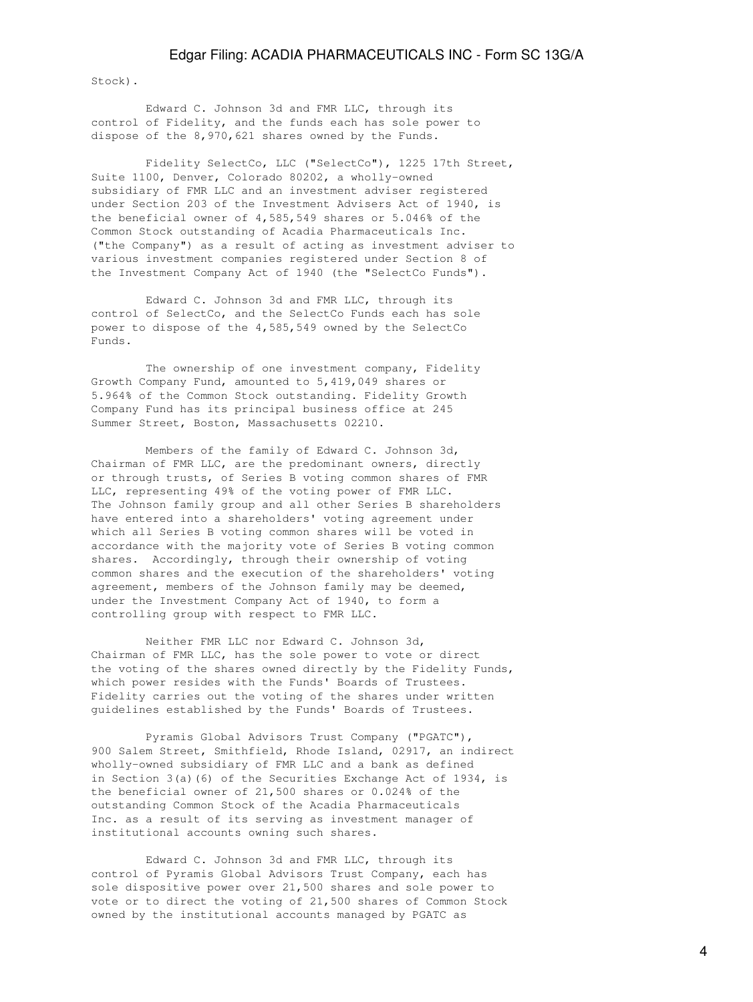Stock).

 Edward C. Johnson 3d and FMR LLC, through its control of Fidelity, and the funds each has sole power to dispose of the 8,970,621 shares owned by the Funds.

 Fidelity SelectCo, LLC ("SelectCo"), 1225 17th Street, Suite 1100, Denver, Colorado 80202, a wholly-owned subsidiary of FMR LLC and an investment adviser registered under Section 203 of the Investment Advisers Act of 1940, is the beneficial owner of 4,585,549 shares or 5.046% of the Common Stock outstanding of Acadia Pharmaceuticals Inc. ("the Company") as a result of acting as investment adviser to various investment companies registered under Section 8 of the Investment Company Act of 1940 (the "SelectCo Funds").

 Edward C. Johnson 3d and FMR LLC, through its control of SelectCo, and the SelectCo Funds each has sole power to dispose of the 4,585,549 owned by the SelectCo Funds.

 The ownership of one investment company, Fidelity Growth Company Fund, amounted to 5,419,049 shares or 5.964% of the Common Stock outstanding. Fidelity Growth Company Fund has its principal business office at 245 Summer Street, Boston, Massachusetts 02210.

 Members of the family of Edward C. Johnson 3d, Chairman of FMR LLC, are the predominant owners, directly or through trusts, of Series B voting common shares of FMR LLC, representing 49% of the voting power of FMR LLC. The Johnson family group and all other Series B shareholders have entered into a shareholders' voting agreement under which all Series B voting common shares will be voted in accordance with the majority vote of Series B voting common shares. Accordingly, through their ownership of voting common shares and the execution of the shareholders' voting agreement, members of the Johnson family may be deemed, under the Investment Company Act of 1940, to form a controlling group with respect to FMR LLC.

 Neither FMR LLC nor Edward C. Johnson 3d, Chairman of FMR LLC, has the sole power to vote or direct the voting of the shares owned directly by the Fidelity Funds, which power resides with the Funds' Boards of Trustees. Fidelity carries out the voting of the shares under written guidelines established by the Funds' Boards of Trustees.

 Pyramis Global Advisors Trust Company ("PGATC"), 900 Salem Street, Smithfield, Rhode Island, 02917, an indirect wholly-owned subsidiary of FMR LLC and a bank as defined in Section 3(a)(6) of the Securities Exchange Act of 1934, is the beneficial owner of 21,500 shares or 0.024% of the outstanding Common Stock of the Acadia Pharmaceuticals Inc. as a result of its serving as investment manager of institutional accounts owning such shares.

 Edward C. Johnson 3d and FMR LLC, through its control of Pyramis Global Advisors Trust Company, each has sole dispositive power over 21,500 shares and sole power to vote or to direct the voting of 21,500 shares of Common Stock owned by the institutional accounts managed by PGATC as